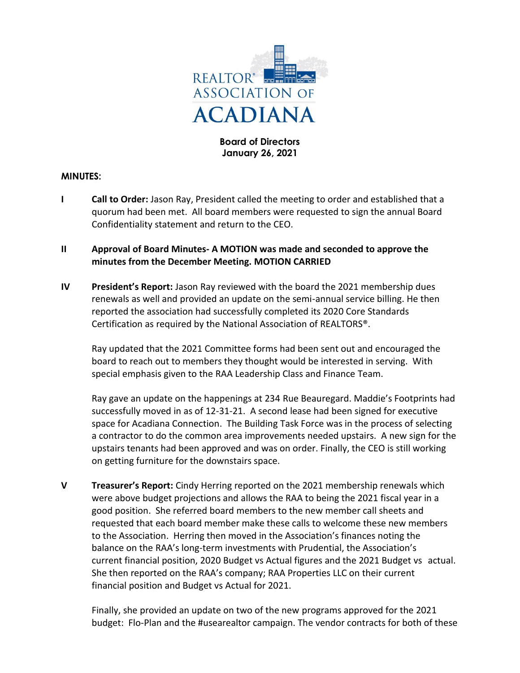

**Board of Directors January 26, 2021**

## **MINUTES:**

- **I Call to Order:** Jason Ray, President called the meeting to order and established that a quorum had been met. All board members were requested to sign the annual Board Confidentiality statement and return to the CEO.
- **II Approval of Board Minutes- A MOTION was made and seconded to approve the minutes from the December Meeting. MOTION CARRIED**
- **IV President's Report:** Jason Ray reviewed with the board the 2021 membership dues renewals as well and provided an update on the semi-annual service billing. He then reported the association had successfully completed its 2020 Core Standards Certification as required by the National Association of REALTORS®.

Ray updated that the 2021 Committee forms had been sent out and encouraged the board to reach out to members they thought would be interested in serving. With special emphasis given to the RAA Leadership Class and Finance Team.

Ray gave an update on the happenings at 234 Rue Beauregard. Maddie's Footprints had successfully moved in as of 12-31-21. A second lease had been signed for executive space for Acadiana Connection. The Building Task Force was in the process of selecting a contractor to do the common area improvements needed upstairs. A new sign for the upstairs tenants had been approved and was on order. Finally, the CEO is still working on getting furniture for the downstairs space.

**V Treasurer's Report:** Cindy Herring reported on the 2021 membership renewals which were above budget projections and allows the RAA to being the 2021 fiscal year in a good position. She referred board members to the new member call sheets and requested that each board member make these calls to welcome these new members to the Association. Herring then moved in the Association's finances noting the balance on the RAA's long-term investments with Prudential, the Association's current financial position, 2020 Budget vs Actual figures and the 2021 Budget vs actual. She then reported on the RAA's company; RAA Properties LLC on their current financial position and Budget vs Actual for 2021.

Finally, she provided an update on two of the new programs approved for the 2021 budget: Flo-Plan and the #usearealtor campaign. The vendor contracts for both of these